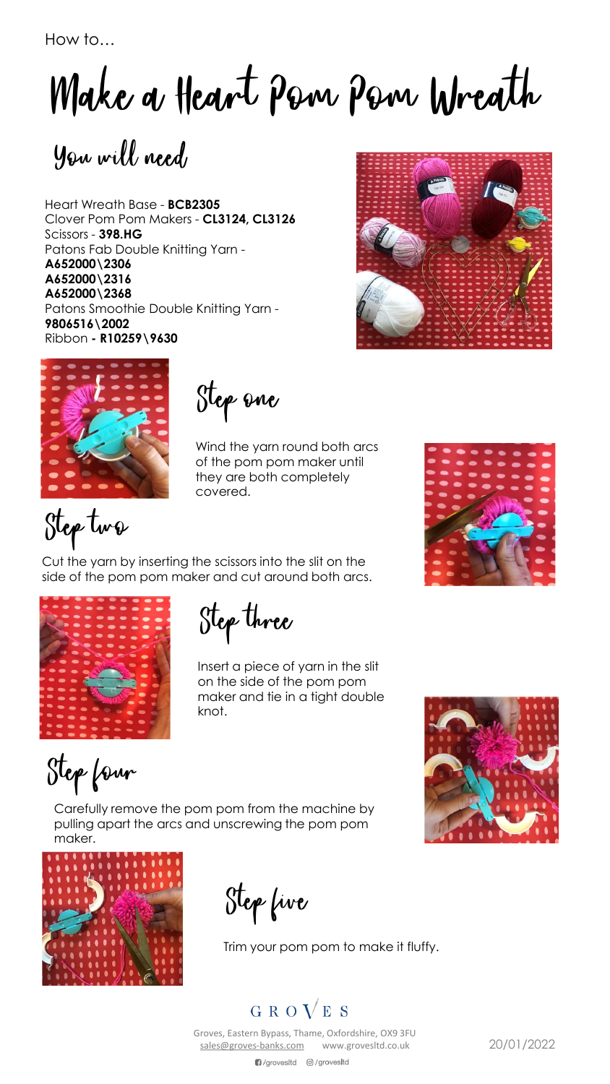How to…

Make a Heart Pom Pom Wreath

You will need

Heart Wreath Base - **BCB2305** Clover Pom Pom Makers - **CL3124, CL3126** Scissors - **398.HG** Patons Fab Double Knitting Yarn - **A652000\2306 A652000\2316 A652000\2368**  Patons Smoothie Double Knitting Yarn - **9806516\2002** Ribbon **- R10259\9630**





Step one

Wind the yarn round both arcs of the pom pom maker until they are both completely covered.



Cut the yarn by inserting the scissors into the slit on the side of the pom pom maker and cut around both arcs.



Step three

Insert a piece of yarn in the slit on the side of the pom pom maker and tie in a tight double knot.

Step four

Carefully remove the pom pom from the machine by pulling apart the arcs and unscrewing the pom pom maker.



Step five

Trim your pom pom to make it fluffy.

## GROVES

Groves, Eastern Bypass, Thame, Oxfordshire, OX9 3FU [sales@groves-banks.com](mailto:sales@groves-banks.com) www.grovesltd.co.uk 20/01/2022